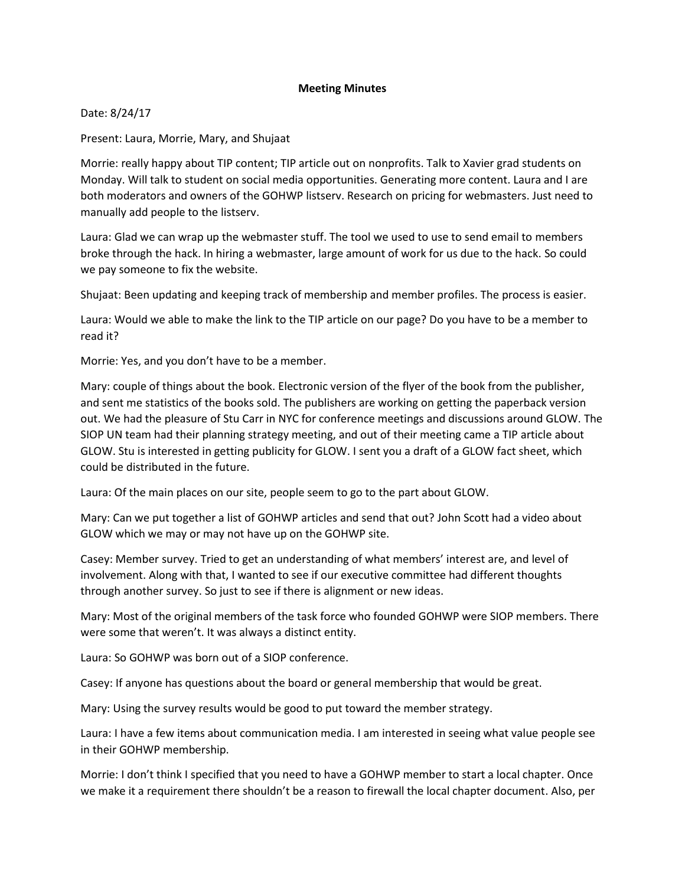## **Meeting Minutes**

Date: 8/24/17

Present: Laura, Morrie, Mary, and Shujaat

Morrie: really happy about TIP content; TIP article out on nonprofits. Talk to Xavier grad students on Monday. Will talk to student on social media opportunities. Generating more content. Laura and I are both moderators and owners of the GOHWP listserv. Research on pricing for webmasters. Just need to manually add people to the listserv.

Laura: Glad we can wrap up the webmaster stuff. The tool we used to use to send email to members broke through the hack. In hiring a webmaster, large amount of work for us due to the hack. So could we pay someone to fix the website.

Shujaat: Been updating and keeping track of membership and member profiles. The process is easier.

Laura: Would we able to make the link to the TIP article on our page? Do you have to be a member to read it?

Morrie: Yes, and you don't have to be a member.

Mary: couple of things about the book. Electronic version of the flyer of the book from the publisher, and sent me statistics of the books sold. The publishers are working on getting the paperback version out. We had the pleasure of Stu Carr in NYC for conference meetings and discussions around GLOW. The SIOP UN team had their planning strategy meeting, and out of their meeting came a TIP article about GLOW. Stu is interested in getting publicity for GLOW. I sent you a draft of a GLOW fact sheet, which could be distributed in the future.

Laura: Of the main places on our site, people seem to go to the part about GLOW.

Mary: Can we put together a list of GOHWP articles and send that out? John Scott had a video about GLOW which we may or may not have up on the GOHWP site.

Casey: Member survey. Tried to get an understanding of what members' interest are, and level of involvement. Along with that, I wanted to see if our executive committee had different thoughts through another survey. So just to see if there is alignment or new ideas.

Mary: Most of the original members of the task force who founded GOHWP were SIOP members. There were some that weren't. It was always a distinct entity.

Laura: So GOHWP was born out of a SIOP conference.

Casey: If anyone has questions about the board or general membership that would be great.

Mary: Using the survey results would be good to put toward the member strategy.

Laura: I have a few items about communication media. I am interested in seeing what value people see in their GOHWP membership.

Morrie: I don't think I specified that you need to have a GOHWP member to start a local chapter. Once we make it a requirement there shouldn't be a reason to firewall the local chapter document. Also, per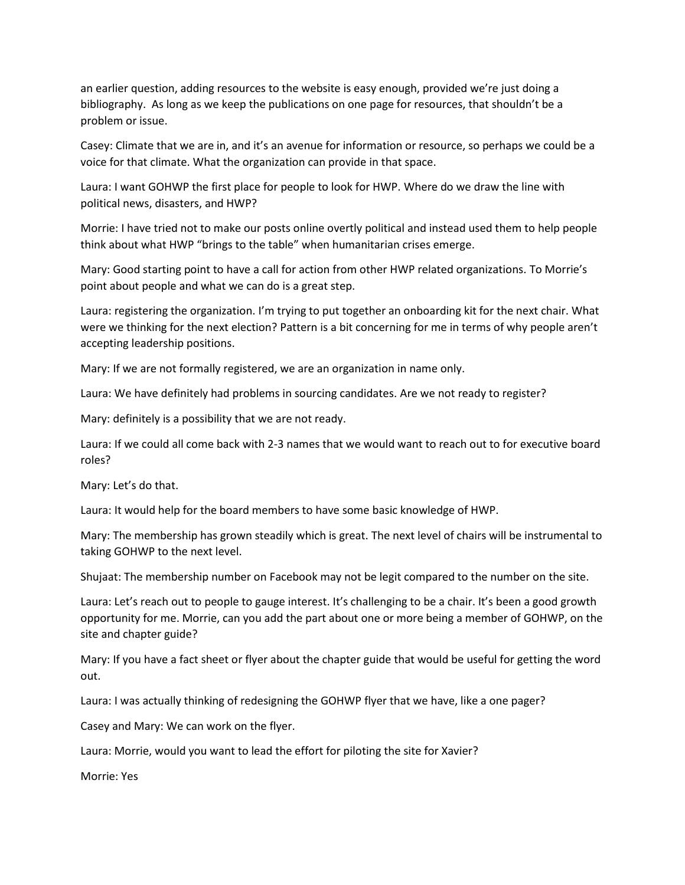an earlier question, adding resources to the website is easy enough, provided we're just doing a bibliography. As long as we keep the publications on one page for resources, that shouldn't be a problem or issue.

Casey: Climate that we are in, and it's an avenue for information or resource, so perhaps we could be a voice for that climate. What the organization can provide in that space.

Laura: I want GOHWP the first place for people to look for HWP. Where do we draw the line with political news, disasters, and HWP?

Morrie: I have tried not to make our posts online overtly political and instead used them to help people think about what HWP "brings to the table" when humanitarian crises emerge.

Mary: Good starting point to have a call for action from other HWP related organizations. To Morrie's point about people and what we can do is a great step.

Laura: registering the organization. I'm trying to put together an onboarding kit for the next chair. What were we thinking for the next election? Pattern is a bit concerning for me in terms of why people aren't accepting leadership positions.

Mary: If we are not formally registered, we are an organization in name only.

Laura: We have definitely had problems in sourcing candidates. Are we not ready to register?

Mary: definitely is a possibility that we are not ready.

Laura: If we could all come back with 2-3 names that we would want to reach out to for executive board roles?

Mary: Let's do that.

Laura: It would help for the board members to have some basic knowledge of HWP.

Mary: The membership has grown steadily which is great. The next level of chairs will be instrumental to taking GOHWP to the next level.

Shujaat: The membership number on Facebook may not be legit compared to the number on the site.

Laura: Let's reach out to people to gauge interest. It's challenging to be a chair. It's been a good growth opportunity for me. Morrie, can you add the part about one or more being a member of GOHWP, on the site and chapter guide?

Mary: If you have a fact sheet or flyer about the chapter guide that would be useful for getting the word out.

Laura: I was actually thinking of redesigning the GOHWP flyer that we have, like a one pager?

Casey and Mary: We can work on the flyer.

Laura: Morrie, would you want to lead the effort for piloting the site for Xavier?

Morrie: Yes